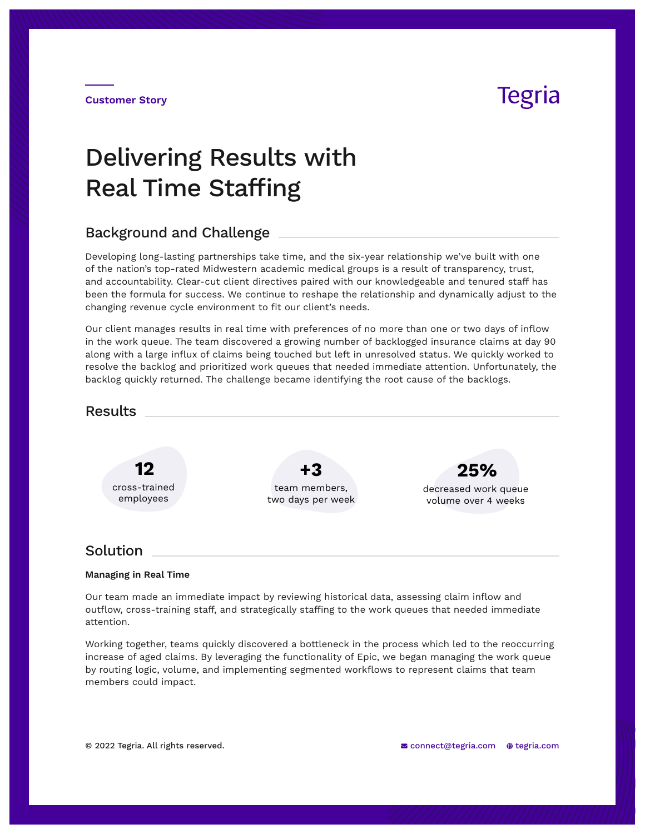## Tegria

**Customer Story**

# Delivering Results with Real Time Staffing

### Background and Challenge

Developing long-lasting partnerships take time, and the six-year relationship we've built with one of the nation's top-rated Midwestern academic medical groups is a result of transparency, trust, and accountability. Clear-cut client directives paired with our knowledgeable and tenured staff has been the formula for success. We continue to reshape the relationship and dynamically adjust to the changing revenue cycle environment to fit our client's needs.

Our client manages results in real time with preferences of no more than one or two days of inflow in the work queue. The team discovered a growing number of backlogged insurance claims at day 90 along with a large influx of claims being touched but left in unresolved status. We quickly worked to resolve the backlog and prioritized work queues that needed immediate attention. Unfortunately, the backlog quickly returned. The challenge became identifying the root cause of the backlogs.



### Solution

#### **Managing in Real Time**

Our team made an immediate impact by reviewing historical data, assessing claim inflow and outflow, cross-training staff, and strategically staffing to the work queues that needed immediate attention.

Working together, teams quickly discovered a bottleneck in the process which led to the reoccurring increase of aged claims. By leveraging the functionality of Epic, we began managing the work queue by routing logic, volume, and implementing segmented workflows to represent claims that team members could impact.